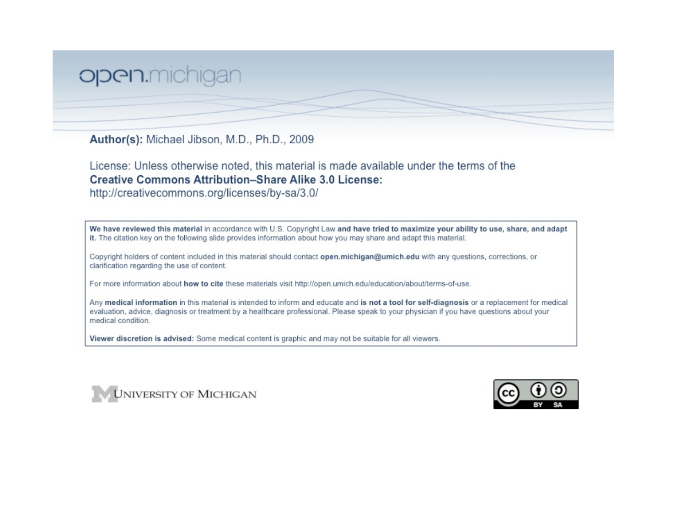## open.michigan

Author(s): Michael Jibson, M.D., Ph.D., 2009

License: Unless otherwise noted, this material is made available under the terms of the **Creative Commons Attribution-Share Alike 3.0 License:** 

http://creativecommons.org/licenses/by-sa/3.0/

We have reviewed this material in accordance with U.S. Copyright Law and have tried to maximize your ability to use, share, and adapt it. The citation key on the following slide provides information about how you may share and adapt this material.

Copyright holders of content included in this material should contact open.michigan@umich.edu with any questions, corrections, or clarification regarding the use of content.

For more information about how to cite these materials visit http://open.umich.edu/education/about/terms-of-use.

Any medical information in this material is intended to inform and educate and is not a tool for self-diagnosis or a replacement for medical evaluation, advice, diagnosis or treatment by a healthcare professional. Please speak to your physician if you have questions about your medical condition.

Viewer discretion is advised: Some medical content is graphic and may not be suitable for all viewers.